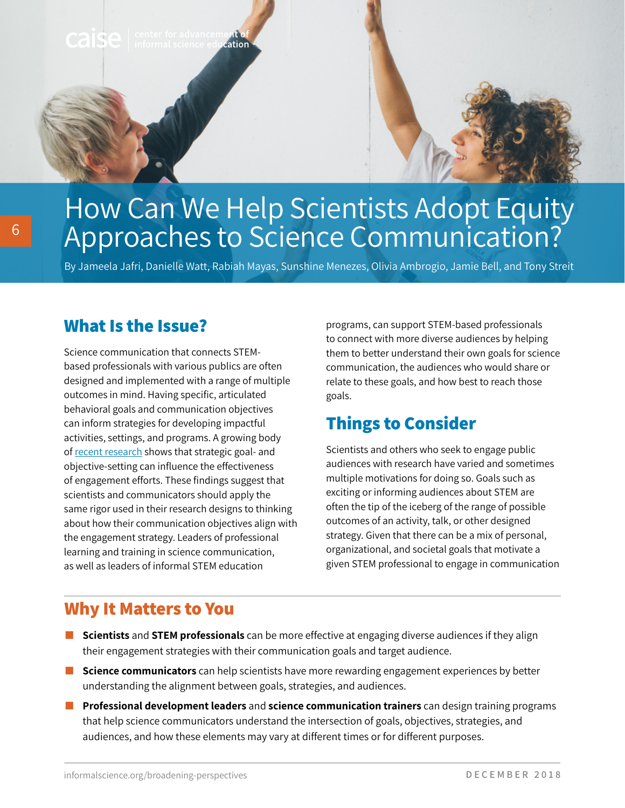**Caise** enter for advancement ent of<br>cation



# How Can We Help Scientists Adopt Equity Approaches to Science Communication?

By Jameela Jafri, Danielle Watt, Rabiah Mayas, Sunshine Menezes, Olivia Ambrogio, Jamie Bell, and Tony Streit

#### **What Is the Issue?**

Science communication that connects STEMbased professionals with various publics are often designed and implemented with a range of multiple outcomes in mind. Having specific, articulated behavioral goals and communication objectives can inform strategies for developing impactful activities, settings, and programs. A growing body of [recent research](https://journals.plos.org/plosone/article?id=10.1371/journal.pone.0148867) shows that strategic goal- and objective-setting can influence the effectiveness of engagement efforts. These findings suggest that scientists and communicators should apply the same rigor used in their research designs to thinking about how their communication objectives align with the engagement strategy. Leaders of professional learning and training in science communication, as well as leaders of informal STEM education

programs, can support STEM-based professionals to connect with more diverse audiences by helping them to better understand their own goals for science communication, the audiences who would share or relate to these goals, and how best to reach those goals.

## **Things to Consider**

Scientists and others who seek to engage public audiences with research have varied and sometimes multiple motivations for doing so. Goals such as exciting or informing audiences about STEM are often the tip of the iceberg of the range of possible outcomes of an activity, talk, or other designed strategy. Given that there can be a mix of personal, organizational, and societal goals that motivate a given STEM professional to engage in communication

#### **Why It Matters to You**

- **Scientists** and **STEM professionals** can be more effective at engaging diverse audiences if they align their engagement strategies with their communication goals and target audience.
- **Science communicators** can help scientists have more rewarding engagement experiences by better understanding the alignment between goals, strategies, and audiences.
- **EXPROFESSIONAl development leaders** and **science communication trainers** can design training programs that help science communicators understand the intersection of goals, objectives, strategies, and audiences, and how these elements may vary at different times or for different purposes.